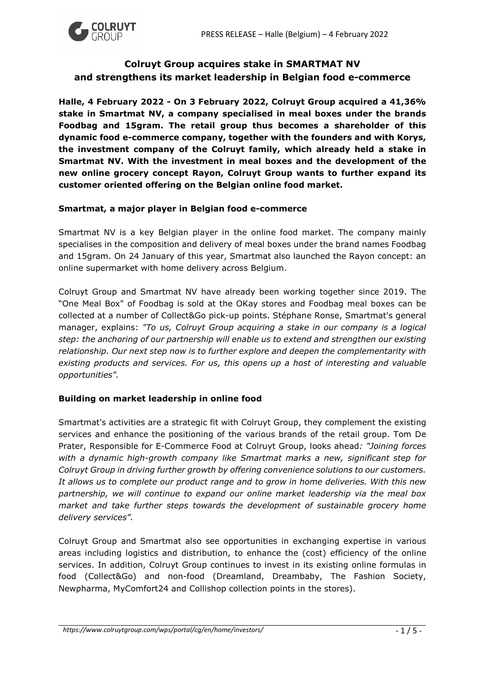

# **Colruyt Group acquires stake in SMARTMAT NV and strengthens its market leadership in Belgian food e-commerce**

**Halle, 4 February 2022 - On 3 February 2022, Colruyt Group acquired a 41,36% stake in Smartmat NV, a company specialised in meal boxes under the brands Foodbag and 15gram. The retail group thus becomes a shareholder of this dynamic food e-commerce company, together with the founders and with Korys, the investment company of the Colruyt family, which already held a stake in Smartmat NV. With the investment in meal boxes and the development of the new online grocery concept Rayon, Colruyt Group wants to further expand its customer oriented offering on the Belgian online food market.** 

### **Smartmat, a major player in Belgian food e-commerce**

Smartmat NV is a key Belgian player in the online food market. The company mainly specialises in the composition and delivery of meal boxes under the brand names Foodbag and 15gram. On 24 January of this year, Smartmat also launched the Rayon concept: an online supermarket with home delivery across Belgium.

Colruyt Group and Smartmat NV have already been working together since 2019. The "One Meal Box" of Foodbag is sold at the OKay stores and Foodbag meal boxes can be collected at a number of Collect&Go pick-up points. Stéphane Ronse, Smartmat's general manager, explains: *"To us, Colruyt Group acquiring a stake in our company is a logical step: the anchoring of our partnership will enable us to extend and strengthen our existing relationship. Our next step now is to further explore and deepen the complementarity with existing products and services. For us, this opens up a host of interesting and valuable opportunities".* 

### **Building on market leadership in online food**

Smartmat's activities are a strategic fit with Colruyt Group, they complement the existing services and enhance the positioning of the various brands of the retail group. Tom De Prater, Responsible for E-Commerce Food at Colruyt Group, looks ahead*: "Joining forces with a dynamic high-growth company like Smartmat marks a new, significant step for Colruyt Group in driving further growth by offering convenience solutions to our customers. It allows us to complete our product range and to grow in home deliveries. With this new partnership, we will continue to expand our online market leadership via the meal box market and take further steps towards the development of sustainable grocery home delivery services".* 

Colruyt Group and Smartmat also see opportunities in exchanging expertise in various areas including logistics and distribution, to enhance the (cost) efficiency of the online services. In addition, Colruyt Group continues to invest in its existing online formulas in food (Collect&Go) and non-food (Dreamland, Dreambaby, The Fashion Society, Newpharma, MyComfort24 and Collishop collection points in the stores).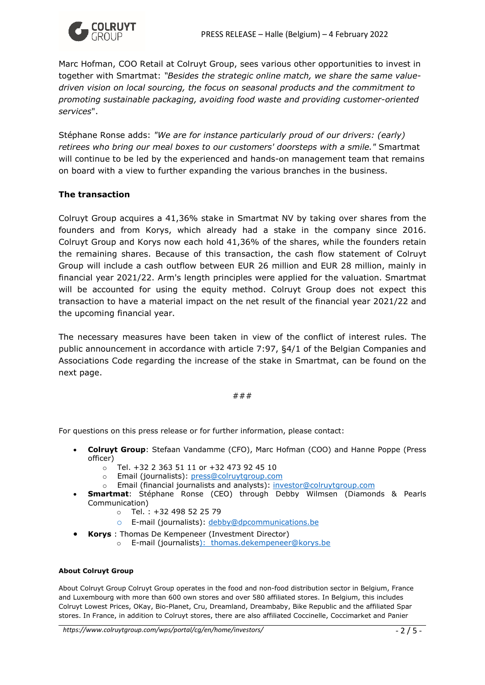

Marc Hofman, COO Retail at Colruyt Group, sees various other opportunities to invest in together with Smartmat: *"Besides the strategic online match, we share the same valuedriven vision on local sourcing, the focus on seasonal products and the commitment to promoting sustainable packaging, avoiding food waste and providing customer-oriented services*".

Stéphane Ronse adds: *"We are for instance particularly proud of our drivers: (early) retirees who bring our meal boxes to our customers' doorsteps with a smile."* Smartmat will continue to be led by the experienced and hands-on management team that remains on board with a view to further expanding the various branches in the business.

### **The transaction**

Colruyt Group acquires a 41,36% stake in Smartmat NV by taking over shares from the founders and from Korys, which already had a stake in the company since 2016. Colruyt Group and Korys now each hold 41,36% of the shares, while the founders retain the remaining shares. Because of this transaction, the cash flow statement of Colruyt Group will include a cash outflow between EUR 26 million and EUR 28 million, mainly in financial year 2021/22. Arm's length principles were applied for the valuation. Smartmat will be accounted for using the equity method. Colruyt Group does not expect this transaction to have a material impact on the net result of the financial year 2021/22 and the upcoming financial year.

The necessary measures have been taken in view of the conflict of interest rules. The public announcement in accordance with article 7:97, §4/1 of the Belgian Companies and Associations Code regarding the increase of the stake in Smartmat, can be found on the next page.

#### ###

For questions on this press release or for further information, please contact:

- **Colruyt Group**: Stefaan Vandamme (CFO), Marc Hofman (COO) and Hanne Poppe (Press officer)
	- o Tel. +32 2 363 51 11 or +32 473 92 45 10
	- o Email (journalists): [press@colruytgroup.com](mailto:press@colruytgroup.com)
	- o Email (financial journalists and analysts): [investor@colruytgroup.com](mailto:investor@colruytgroup.com)
- **Smartmat**: Stéphane Ronse (CEO) through Debby Wilmsen (Diamonds & Pearls Communication)
	- $\circ$  Tel.: +32 498 52 25 79
	- o E-mail (journalists): [debby@dpcommunications.be](mailto:debby@dpcommunications.be)
- **Korys** : Thomas De Kempeneer (Investment Director)
	- o E-mail (journalists): thomas.dekempeneer@korys.be

#### **About Colruyt Group**

About Colruyt Group Colruyt Group operates in the food and non-food distribution sector in Belgium, France and Luxembourg with more than 600 own stores and over 580 affiliated stores. In Belgium, this includes Colruyt Lowest Prices, OKay, Bio-Planet, Cru, Dreamland, Dreambaby, Bike Republic and the affiliated Spar stores. In France, in addition to Colruyt stores, there are also affiliated Coccinelle, Coccimarket and Panier

*https://www.colruytgroup.com/wps/portal/cg/en/home/investors/* - 2 / 5 -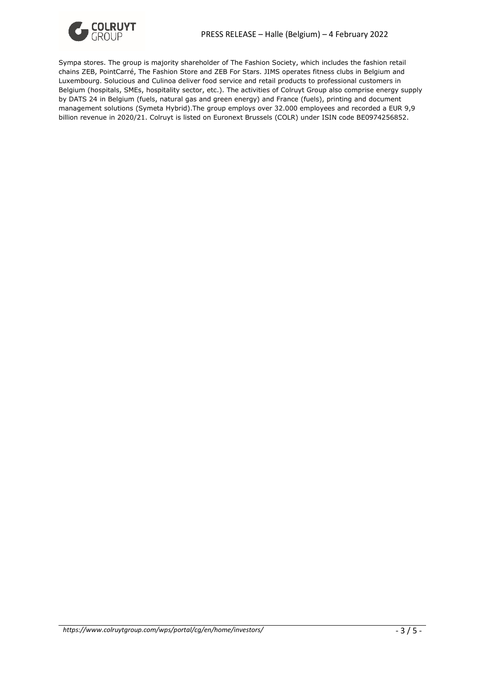

Sympa stores. The group is majority shareholder of The Fashion Society, which includes the fashion retail chains ZEB, PointCarré, The Fashion Store and ZEB For Stars. JIMS operates fitness clubs in Belgium and Luxembourg. Solucious and Culinoa deliver food service and retail products to professional customers in Belgium (hospitals, SMEs, hospitality sector, etc.). The activities of Colruyt Group also comprise energy supply by DATS 24 in Belgium (fuels, natural gas and green energy) and France (fuels), printing and document management solutions (Symeta Hybrid).The group employs over 32.000 employees and recorded a EUR 9,9 billion revenue in 2020/21. Colruyt is listed on Euronext Brussels (COLR) under ISIN code BE0974256852.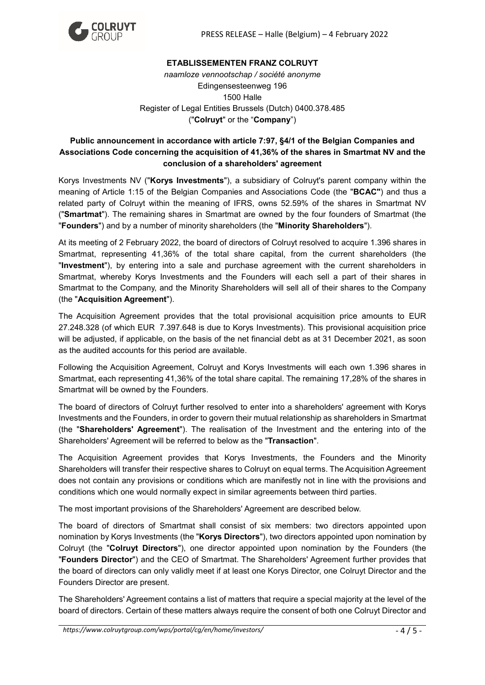

### **ETABLISSEMENTEN FRANZ COLRUYT**

*naamloze vennootschap / société anonyme* Edingensesteenweg 196 1500 Halle Register of Legal Entities Brussels (Dutch) 0400.378.485 ("**Colruyt**" or the "**Company**")

## **Public announcement in accordance with article 7:97, §4/1 of the Belgian Companies and Associations Code concerning the acquisition of 41,36% of the shares in Smartmat NV and the conclusion of a shareholders' agreement**

Korys Investments NV ("**Korys Investments**"), a subsidiary of Colruyt's parent company within the meaning of Article 1:15 of the Belgian Companies and Associations Code (the "**BCAC"**) and thus a related party of Colruyt within the meaning of IFRS, owns 52.59% of the shares in Smartmat NV ("**Smartmat**"). The remaining shares in Smartmat are owned by the four founders of Smartmat (the "**Founders**") and by a number of minority shareholders (the "**Minority Shareholders**").

At its meeting of 2 February 2022, the board of directors of Colruyt resolved to acquire 1.396 shares in Smartmat, representing 41,36% of the total share capital, from the current shareholders (the "**Investment**"), by entering into a sale and purchase agreement with the current shareholders in Smartmat, whereby Korys Investments and the Founders will each sell a part of their shares in Smartmat to the Company, and the Minority Shareholders will sell all of their shares to the Company (the "**Acquisition Agreement**").

The Acquisition Agreement provides that the total provisional acquisition price amounts to EUR 27.248.328 (of which EUR 7.397.648 is due to Korys Investments). This provisional acquisition price will be adjusted, if applicable, on the basis of the net financial debt as at 31 December 2021, as soon as the audited accounts for this period are available.

Following the Acquisition Agreement, Colruyt and Korys Investments will each own 1.396 shares in Smartmat, each representing 41,36% of the total share capital. The remaining 17,28% of the shares in Smartmat will be owned by the Founders.

The board of directors of Colruyt further resolved to enter into a shareholders' agreement with Korys Investments and the Founders, in order to govern their mutual relationship as shareholders in Smartmat (the "**Shareholders' Agreement**"). The realisation of the Investment and the entering into of the Shareholders' Agreement will be referred to below as the "**Transaction**".

The Acquisition Agreement provides that Korys Investments, the Founders and the Minority Shareholders will transfer their respective shares to Colruyt on equal terms. The Acquisition Agreement does not contain any provisions or conditions which are manifestly not in line with the provisions and conditions which one would normally expect in similar agreements between third parties.

The most important provisions of the Shareholders' Agreement are described below.

The board of directors of Smartmat shall consist of six members: two directors appointed upon nomination by Korys Investments (the "**Korys Directors**"), two directors appointed upon nomination by Colruyt (the "**Colruyt Directors**"), one director appointed upon nomination by the Founders (the "**Founders Director**") and the CEO of Smartmat. The Shareholders' Agreement further provides that the board of directors can only validly meet if at least one Korys Director, one Colruyt Director and the Founders Director are present.

The Shareholders' Agreement contains a list of matters that require a special majority at the level of the board of directors. Certain of these matters always require the consent of both one Colruyt Director and